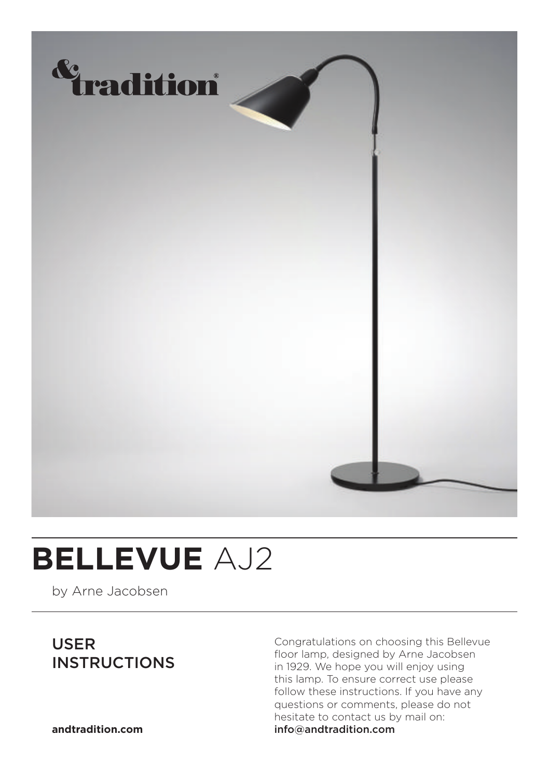

## **BELLEVUE** AJ2

by Arne Jacobsen

### USER INSTRUCTIONS

Congratulations on choosing this Bellevue floor lamp, designed by Arne Jacobsen in 1929. We hope you will enjoy using this lamp. To ensure correct use please follow these instructions. If you have any questions or comments, please do not hesitate to contact us by mail on: info@andtradition.com

**andtradition.com**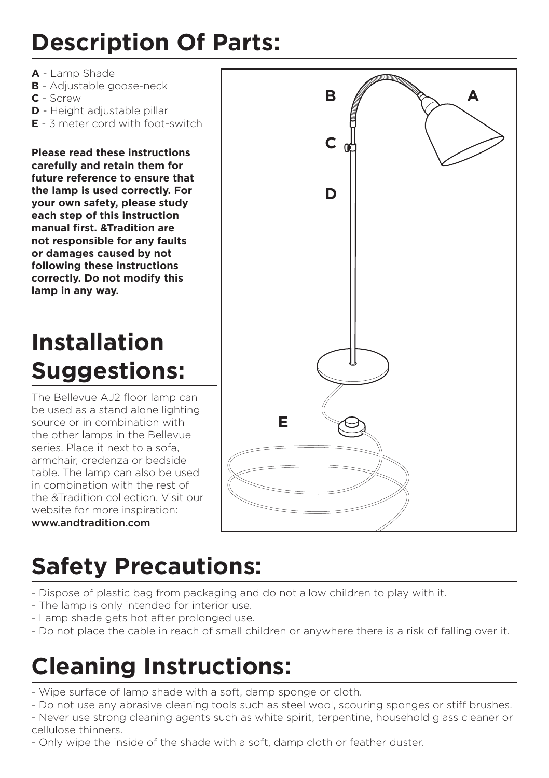## **Description Of Parts:**

- **A** Lamp Shade
- **B** Adjustable goose-neck
- **C** Screw
- **D** Height adjustable pillar
- **E** 3 meter cord with foot-switch

**Please read these instructions carefully and retain them for future reference to ensure that the lamp is used correctly. For your own safety, please study each step of this instruction manual first. &Tradition are not responsible for any faults or damages caused by not following these instructions correctly. Do not modify this lamp in any way.**

## **Installation Suggestions:**

The Bellevue AJ2 floor lamp can be used as a stand alone lighting source or in combination with the other lamps in the Bellevue series. Place it next to a sofa, armchair, credenza or bedside table. The lamp can also be used in combination with the rest of the &Tradition collection. Visit our website for more inspiration: www.andtradition.com



## **Safety Precautions:**

- Dispose of plastic bag from packaging and do not allow children to play with it.
- The lamp is only intended for interior use.
- Lamp shade gets hot after prolonged use.
- Do not place the cable in reach of small children or anywhere there is a risk of falling over it.

## **Cleaning Instructions:**

- Wipe surface of lamp shade with a soft, damp sponge or cloth.
- Do not use any abrasive cleaning tools such as steel wool, scouring sponges or stiff brushes.
- Never use strong cleaning agents such as white spirit, terpentine, household glass cleaner or cellulose thinners.
- Only wipe the inside of the shade with a soft, damp cloth or feather duster.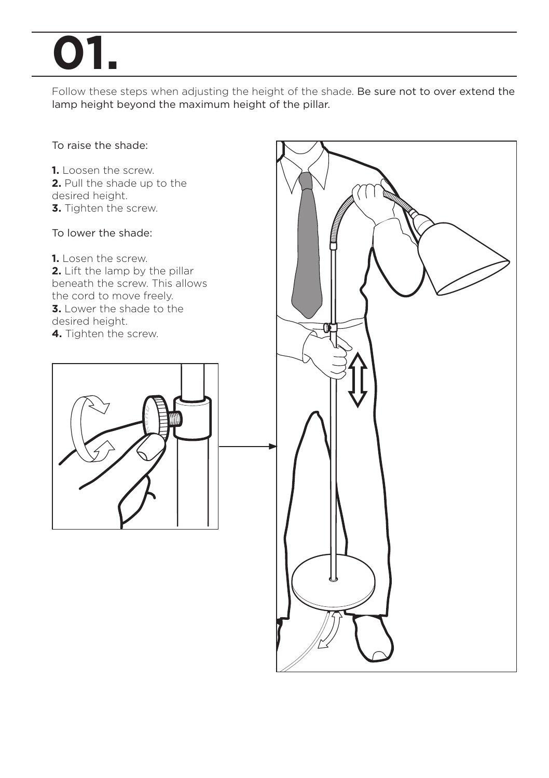# **01.**

Follow these steps when adjusting the height of the shade. Be sure not to over extend the lamp height beyond the maximum height of the pillar.

### To raise the shade:

**1.** Loosen the screw. **2.** Pull the shade up to the desired height. **3.** Tighten the screw.

### To lower the shade:

**1.** Losen the screw. **2.** Lift the lamp by the pillar beneath the screw. This allows the cord to move freely. **3.** Lower the shade to the desired height. **4.** Tighten the screw.